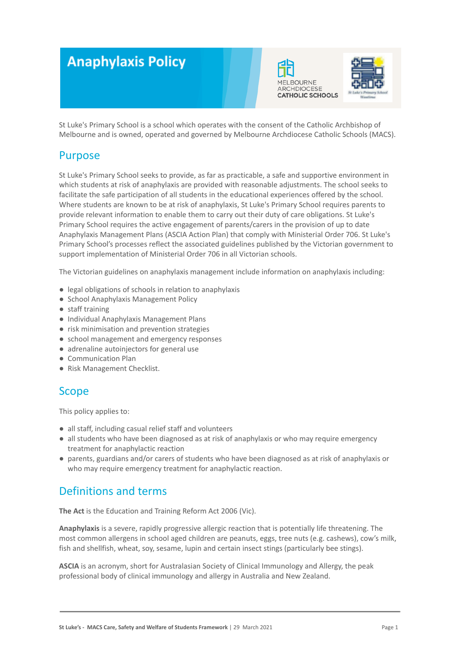# **Anaphylaxis Policy**





St Luke's Primary School is a school which operates with the consent of the Catholic Archbishop of Melbourne and is owned, operated and governed by Melbourne Archdiocese Catholic Schools (MACS).

# Purpose

St Luke's Primary School seeks to provide, as far as practicable, a safe and supportive environment in which students at risk of anaphylaxis are provided with reasonable adjustments. The school seeks to facilitate the safe participation of all students in the educational experiences offered by the school. Where students are known to be at risk of anaphylaxis, St Luke's Primary School requires parents to provide relevant information to enable them to carry out their duty of care obligations. St Luke's Primary School requires the active engagement of parents/carers in the provision of up to date Anaphylaxis Management Plans (ASCIA Action Plan) that comply with Ministerial Order 706. St Luke's Primary School's processes reflect the associated guidelines published by the Victorian government to support implementation of Ministerial Order 706 in all Victorian schools.

The Victorian guidelines on anaphylaxis management include information on anaphylaxis including:

- legal obligations of schools in relation to anaphylaxis
- School Anaphylaxis Management Policy
- staff training
- Individual Anaphylaxis Management Plans
- risk minimisation and prevention strategies
- school management and emergency responses
- adrenaline autoinjectors for general use
- Communication Plan
- Risk Management Checklist.

# Scope

This policy applies to:

- all staff, including casual relief staff and volunteers
- all students who have been diagnosed as at risk of anaphylaxis or who may require emergency treatment for anaphylactic reaction
- parents, guardians and/or carers of students who have been diagnosed as at risk of anaphylaxis or who may require emergency treatment for anaphylactic reaction.

# Definitions and terms

**The Act** is the Education and Training Reform Act 2006 (Vic).

**Anaphylaxis** is a severe, rapidly progressive allergic reaction that is potentially life threatening. The most common allergens in school aged children are peanuts, eggs, tree nuts (e.g. cashews), cow's milk, fish and shellfish, wheat, soy, sesame, lupin and certain insect stings (particularly bee stings).

**ASCIA** is an acronym, short for Australasian Society of Clinical Immunology and Allergy, the peak professional body of clinical immunology and allergy in Australia and New Zealand.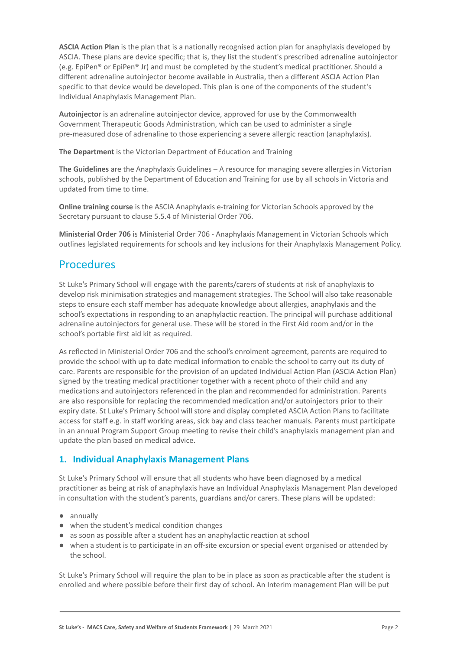**ASCIA Action Plan** is the plan that is a nationally recognised action plan for anaphylaxis developed by ASCIA. These plans are device specific; that is, they list the student's prescribed adrenaline autoinjector (e.g. EpiPen® or EpiPen® Jr) and must be completed by the student's medical practitioner. Should a different adrenaline autoinjector become available in Australia, then a different ASCIA Action Plan specific to that device would be developed. This plan is one of the components of the student's Individual Anaphylaxis Management Plan.

**Autoinjector** is an adrenaline autoinjector device, approved for use by the Commonwealth Government Therapeutic Goods Administration, which can be used to administer a single pre-measured dose of adrenaline to those experiencing a severe allergic reaction (anaphylaxis).

**The Department** is the Victorian Department of Education and Training

**The Guidelines** are the Anaphylaxis Guidelines – A resource for managing severe allergies in Victorian schools, published by the Department of Education and Training for use by all schools in Victoria and updated from time to time.

**Online training course** is the ASCIA Anaphylaxis e-training for Victorian Schools approved by the Secretary pursuant to clause 5.5.4 of Ministerial Order 706.

**Ministerial Order 706** is Ministerial Order 706 - Anaphylaxis Management in Victorian Schools which outlines legislated requirements for schools and key inclusions for their Anaphylaxis Management Policy.

# Procedures

St Luke's Primary School will engage with the parents/carers of students at risk of anaphylaxis to develop risk minimisation strategies and management strategies. The School will also take reasonable steps to ensure each staff member has adequate knowledge about allergies, anaphylaxis and the school's expectations in responding to an anaphylactic reaction. The principal will purchase additional adrenaline autoinjectors for general use. These will be stored in the First Aid room and/or in the school's portable first aid kit as required.

As reflected in Ministerial Order 706 and the school's enrolment agreement, parents are required to provide the school with up to date medical information to enable the school to carry out its duty of care. Parents are responsible for the provision of an updated Individual Action Plan (ASCIA Action Plan) signed by the treating medical practitioner together with a recent photo of their child and any medications and autoinjectors referenced in the plan and recommended for administration. Parents are also responsible for replacing the recommended medication and/or autoinjectors prior to their expiry date. St Luke's Primary School will store and display completed ASCIA Action Plans to facilitate access for staff e.g. in staff working areas, sick bay and class teacher manuals. Parents must participate in an annual Program Support Group meeting to revise their child's anaphylaxis management plan and update the plan based on medical advice.

## **1. Individual Anaphylaxis Management Plans**

St Luke's Primary School will ensure that all students who have been diagnosed by a medical practitioner as being at risk of anaphylaxis have an Individual Anaphylaxis Management Plan developed in consultation with the student's parents, guardians and/or carers. These plans will be updated:

- annually
- when the student's medical condition changes
- as soon as possible after a student has an anaphylactic reaction at school
- when a student is to participate in an off-site excursion or special event organised or attended by the school.

St Luke's Primary School will require the plan to be in place as soon as practicable after the student is enrolled and where possible before their first day of school. An Interim management Plan will be put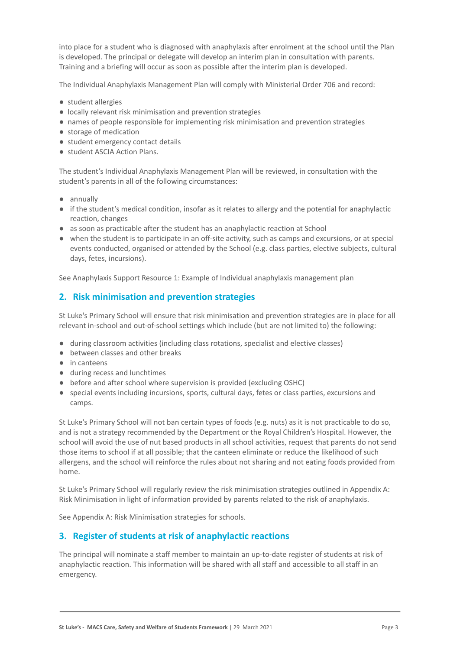into place for a student who is diagnosed with anaphylaxis after enrolment at the school until the Plan is developed. The principal or delegate will develop an interim plan in consultation with parents. Training and a briefing will occur as soon as possible after the interim plan is developed.

The Individual Anaphylaxis Management Plan will comply with Ministerial Order 706 and record:

- student allergies
- locally relevant risk minimisation and prevention strategies
- names of people responsible for implementing risk minimisation and prevention strategies
- storage of medication
- student emergency contact details
- student ASCIA Action Plans.

The student's Individual Anaphylaxis Management Plan will be reviewed, in consultation with the student's parents in all of the following circumstances:

- annually
- if the student's medical condition, insofar as it relates to allergy and the potential for anaphylactic reaction, changes
- as soon as practicable after the student has an anaphylactic reaction at School
- when the student is to participate in an off-site activity, such as camps and excursions, or at special events conducted, organised or attended by the School (e.g. class parties, elective subjects, cultural days, fetes, incursions).

See Anaphylaxis Support Resource 1: Example of Individual anaphylaxis management plan

## **2. Risk minimisation and prevention strategies**

St Luke's Primary School will ensure that risk minimisation and prevention strategies are in place for all relevant in-school and out-of-school settings which include (but are not limited to) the following:

- during classroom activities (including class rotations, specialist and elective classes)
- between classes and other breaks
- in canteens
- during recess and lunchtimes
- before and after school where supervision is provided (excluding OSHC)
- special events including incursions, sports, cultural days, fetes or class parties, excursions and camps.

St Luke's Primary School will not ban certain types of foods (e.g. nuts) as it is not practicable to do so, and is not a strategy recommended by the Department or the Royal Children's Hospital. However, the school will avoid the use of nut based products in all school activities, request that parents do not send those items to school if at all possible; that the canteen eliminate or reduce the likelihood of such allergens, and the school will reinforce the rules about not sharing and not eating foods provided from home.

St Luke's Primary School will regularly review the risk minimisation strategies outlined in Appendix A: Risk Minimisation in light of information provided by parents related to the risk of anaphylaxis.

See Appendix A: Risk Minimisation strategies for schools.

## **3. Register of students at risk of anaphylactic reactions**

The principal will nominate a staff member to maintain an up-to-date register of students at risk of anaphylactic reaction. This information will be shared with all staff and accessible to all staff in an emergency.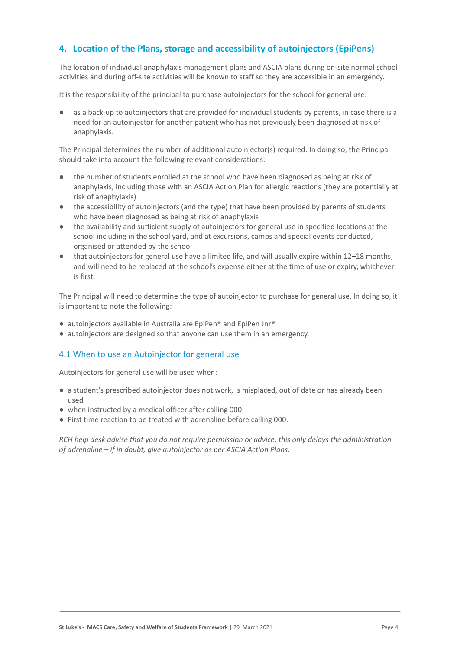## **4. Location of the Plans, storage and accessibility of autoinjectors (EpiPens)**

The location of individual anaphylaxis management plans and ASCIA plans during on-site normal school activities and during off-site activities will be known to staff so they are accessible in an emergency.

It is the responsibility of the principal to purchase autoinjectors for the school for general use:

as a back-up to autoinjectors that are provided for individual students by parents, in case there is a need for an autoinjector for another patient who has not previously been diagnosed at risk of anaphylaxis.

The Principal determines the number of additional autoinjector(s) required. In doing so, the Principal should take into account the following relevant considerations:

- the number of students enrolled at the school who have been diagnosed as being at risk of anaphylaxis, including those with an ASCIA Action Plan for allergic reactions (they are potentially at risk of anaphylaxis)
- the accessibility of autoinjectors (and the type) that have been provided by parents of students who have been diagnosed as being at risk of anaphylaxis
- the availability and sufficient supply of autoinjectors for general use in specified locations at the school including in the school yard, and at excursions, camps and special events conducted, organised or attended by the school
- that autoinjectors for general use have a limited life, and will usually expire within 12–18 months, and will need to be replaced at the school's expense either at the time of use or expiry, whichever is first.

The Principal will need to determine the type of autoinjector to purchase for general use. In doing so, it is important to note the following:

- autoinjectors available in Australia are EpiPen® and EpiPen Jnr®
- autoinjectors are designed so that anyone can use them in an emergency.

### 4.1 When to use an Autoinjector for general use

Autoinjectors for general use will be used when:

- a student's prescribed autoinjector does not work, is misplaced, out of date or has already been used
- when instructed by a medical officer after calling 000
- First time reaction to be treated with adrenaline before calling 000.

*RCH help desk advise that you do not require permission or advice, this only delays the administration of adrenaline – if in doubt, give autoinjector as per ASCIA Action Plans.*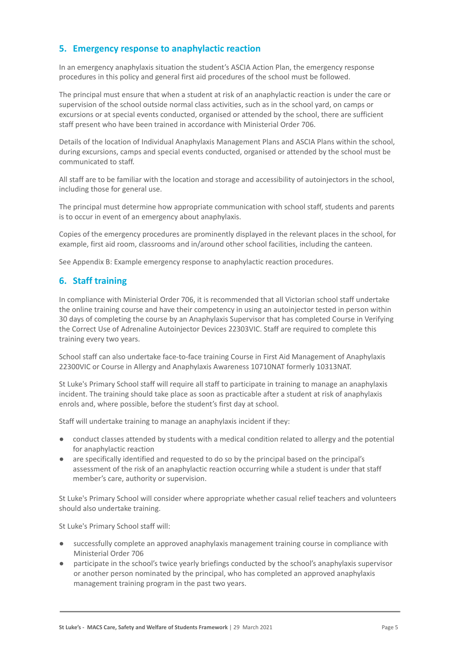## **5. Emergency response to anaphylactic reaction**

In an emergency anaphylaxis situation the student's ASCIA Action Plan, the emergency response procedures in this policy and general first aid procedures of the school must be followed.

The principal must ensure that when a student at risk of an anaphylactic reaction is under the care or supervision of the school outside normal class activities, such as in the school yard, on camps or excursions or at special events conducted, organised or attended by the school, there are sufficient staff present who have been trained in accordance with Ministerial Order 706.

Details of the location of Individual Anaphylaxis Management Plans and ASCIA Plans within the school, during excursions, camps and special events conducted, organised or attended by the school must be communicated to staff.

All staff are to be familiar with the location and storage and accessibility of autoinjectors in the school, including those for general use.

The principal must determine how appropriate communication with school staff, students and parents is to occur in event of an emergency about anaphylaxis.

Copies of the emergency procedures are prominently displayed in the relevant places in the school, for example, first aid room, classrooms and in/around other school facilities, including the canteen.

See Appendix B: Example emergency response to anaphylactic reaction procedures.

## **6. Staff training**

In compliance with Ministerial Order 706, it is recommended that all Victorian school staff undertake the online training course and have their competency in using an autoinjector tested in person within 30 days of completing the course by an Anaphylaxis Supervisor that has completed Course in Verifying the Correct Use of Adrenaline Autoinjector Devices 22303VIC. Staff are required to complete this training every two years.

School staff can also undertake face-to-face training Course in First Aid Management of Anaphylaxis 22300VIC or Course in Allergy and Anaphylaxis Awareness 10710NAT formerly 10313NAT.

St Luke's Primary School staff will require all staff to participate in training to manage an anaphylaxis incident. The training should take place as soon as practicable after a student at risk of anaphylaxis enrols and, where possible, before the student's first day at school.

Staff will undertake training to manage an anaphylaxis incident if they:

- conduct classes attended by students with a medical condition related to allergy and the potential for anaphylactic reaction
- are specifically identified and requested to do so by the principal based on the principal's assessment of the risk of an anaphylactic reaction occurring while a student is under that staff member's care, authority or supervision.

St Luke's Primary School will consider where appropriate whether casual relief teachers and volunteers should also undertake training.

St Luke's Primary School staff will:

- successfully complete an approved anaphylaxis management training course in compliance with Ministerial Order 706
- participate in the school's twice yearly briefings conducted by the school's anaphylaxis supervisor or another person nominated by the principal, who has completed an approved anaphylaxis management training program in the past two years.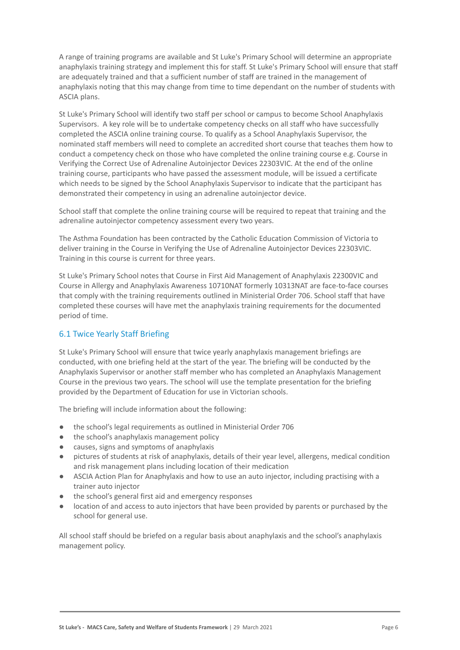A range of training programs are available and St Luke's Primary School will determine an appropriate anaphylaxis training strategy and implement this for staff. St Luke's Primary School will ensure that staff are adequately trained and that a sufficient number of staff are trained in the management of anaphylaxis noting that this may change from time to time dependant on the number of students with ASCIA plans.

St Luke's Primary School will identify two staff per school or campus to become School Anaphylaxis Supervisors. A key role will be to undertake competency checks on all staff who have successfully completed the ASCIA online training course. To qualify as a School Anaphylaxis Supervisor, the nominated staff members will need to complete an accredited short course that teaches them how to conduct a competency check on those who have completed the online training course e.g. Course in Verifying the Correct Use of Adrenaline Autoinjector Devices 22303VIC. At the end of the online training course, participants who have passed the assessment module, will be issued a certificate which needs to be signed by the School Anaphylaxis Supervisor to indicate that the participant has demonstrated their competency in using an adrenaline autoinjector device.

School staff that complete the online training course will be required to repeat that training and the adrenaline autoinjector competency assessment every two years.

The Asthma Foundation has been contracted by the Catholic Education Commission of Victoria to deliver training in the Course in Verifying the Use of Adrenaline Autoinjector Devices 22303VIC. Training in this course is current for three years.

St Luke's Primary School notes that Course in First Aid Management of Anaphylaxis 22300VIC and Course in Allergy and Anaphylaxis Awareness 10710NAT formerly 10313NAT are face-to-face courses that comply with the training requirements outlined in Ministerial Order 706. School staff that have completed these courses will have met the anaphylaxis training requirements for the documented period of time.

## 6.1 Twice Yearly Staff Briefing

St Luke's Primary School will ensure that twice yearly anaphylaxis management briefings are conducted, with one briefing held at the start of the year. The briefing will be conducted by the Anaphylaxis Supervisor or another staff member who has completed an Anaphylaxis Management Course in the previous two years. The school will use the template presentation for the briefing provided by the Department of Education for use in Victorian schools.

The briefing will include information about the following:

- the school's legal requirements as outlined in Ministerial Order 706
- the school's anaphylaxis management policy
- causes, signs and symptoms of anaphylaxis
- pictures of students at risk of anaphylaxis, details of their year level, allergens, medical condition and risk management plans including location of their medication
- ASCIA Action Plan for Anaphylaxis and how to use an auto injector, including practising with a trainer auto injector
- the school's general first aid and emergency responses
- location of and access to auto injectors that have been provided by parents or purchased by the school for general use.

All school staff should be briefed on a regular basis about anaphylaxis and the school's anaphylaxis management policy.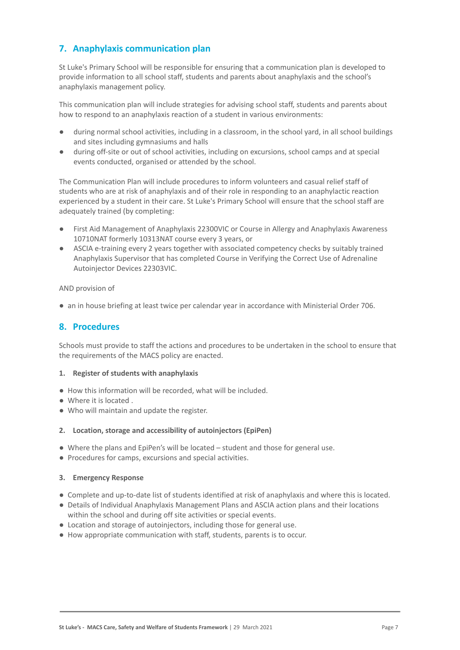## **7. Anaphylaxis communication plan**

St Luke's Primary School will be responsible for ensuring that a communication plan is developed to provide information to all school staff, students and parents about anaphylaxis and the school's anaphylaxis management policy.

This communication plan will include strategies for advising school staff, students and parents about how to respond to an anaphylaxis reaction of a student in various environments:

- during normal school activities, including in a classroom, in the school yard, in all school buildings and sites including gymnasiums and halls
- during off-site or out of school activities, including on excursions, school camps and at special events conducted, organised or attended by the school.

The Communication Plan will include procedures to inform volunteers and casual relief staff of students who are at risk of anaphylaxis and of their role in responding to an anaphylactic reaction experienced by a student in their care. St Luke's Primary School will ensure that the school staff are adequately trained (by completing:

- First Aid Management of Anaphylaxis 22300VIC or Course in Allergy and Anaphylaxis Awareness 10710NAT formerly 10313NAT course every 3 years, or
- ASCIA e-training every 2 years together with associated competency checks by suitably trained Anaphylaxis Supervisor that has completed Course in Verifying the Correct Use of Adrenaline Autoinjector Devices 22303VIC.

AND provision of

● an in house briefing at least twice per calendar year in accordance with Ministerial Order 706.

## **8. Procedures**

Schools must provide to staff the actions and procedures to be undertaken in the school to ensure that the requirements of the MACS policy are enacted.

#### **1. Register of students with anaphylaxis**

- How this information will be recorded, what will be included.
- Where it is located .
- Who will maintain and update the register.

#### **2. Location, storage and accessibility of autoinjectors (EpiPen)**

- Where the plans and EpiPen's will be located student and those for general use.
- Procedures for camps, excursions and special activities.

#### **3. Emergency Response**

- Complete and up-to-date list of students identified at risk of anaphylaxis and where this is located.
- Details of Individual Anaphylaxis Management Plans and ASCIA action plans and their locations within the school and during off site activities or special events.
- Location and storage of autoinjectors, including those for general use.
- How appropriate communication with staff, students, parents is to occur.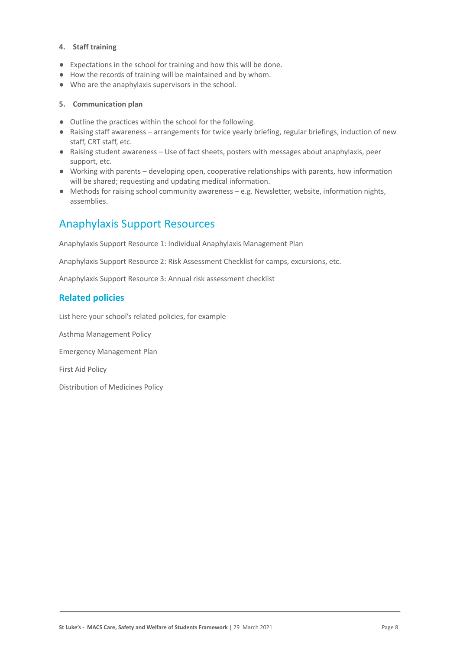#### **4. Staff training**

- Expectations in the school for training and how this will be done.
- How the records of training will be maintained and by whom.
- Who are the anaphylaxis supervisors in the school.

#### **5. Communication plan**

- Outline the practices within the school for the following.
- Raising staff awareness arrangements for twice yearly briefing, regular briefings, induction of new staff, CRT staff, etc.
- Raising student awareness Use of fact sheets, posters with messages about anaphylaxis, peer support, etc.
- Working with parents developing open, cooperative relationships with parents, how information will be shared; requesting and updating medical information.
- Methods for raising school community awareness e.g. Newsletter, website, information nights, assemblies.

# Anaphylaxis Support Resources

Anaphylaxis Support Resource 1: Individual Anaphylaxis Management Plan

Anaphylaxis Support Resource 2: Risk Assessment Checklist for camps, excursions, etc.

Anaphylaxis Support Resource 3: Annual risk assessment checklist

### **Related policies**

List here your school's related policies, for example

Asthma Management Policy

Emergency Management Plan

First Aid Policy

Distribution of Medicines Policy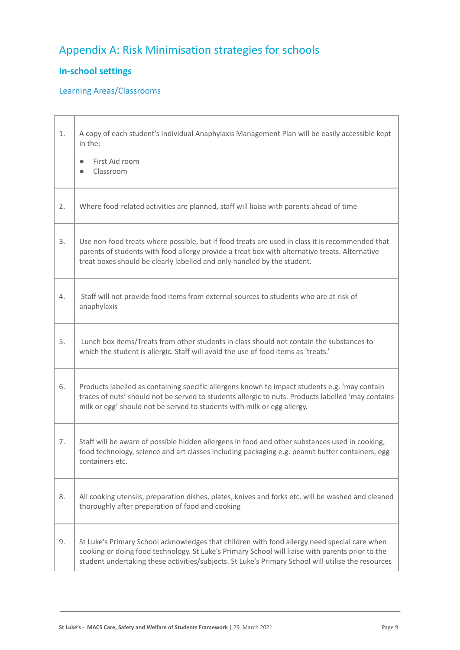# Appendix A: Risk Minimisation strategies for schools

## **In-school settings**

 $\overline{\phantom{a}}$ Г

## Learning Areas/Classrooms

| 1. | A copy of each student's Individual Anaphylaxis Management Plan will be easily accessible kept<br>in the:                                                                                                                                                                                              |  |
|----|--------------------------------------------------------------------------------------------------------------------------------------------------------------------------------------------------------------------------------------------------------------------------------------------------------|--|
|    | First Aid room<br>$\bullet$<br>Classroom<br>$\bullet$                                                                                                                                                                                                                                                  |  |
| 2. | Where food-related activities are planned, staff will liaise with parents ahead of time                                                                                                                                                                                                                |  |
| 3. | Use non-food treats where possible, but if food treats are used in class it is recommended that<br>parents of students with food allergy provide a treat box with alternative treats. Alternative<br>treat boxes should be clearly labelled and only handled by the student.                           |  |
| 4. | Staff will not provide food items from external sources to students who are at risk of<br>anaphylaxis                                                                                                                                                                                                  |  |
| 5. | Lunch box items/Treats from other students in class should not contain the substances to<br>which the student is allergic. Staff will avoid the use of food items as 'treats.'                                                                                                                         |  |
| 6. | Products labelled as containing specific allergens known to impact students e.g. 'may contain<br>traces of nuts' should not be served to students allergic to nuts. Products labelled 'may contains<br>milk or egg' should not be served to students with milk or egg allergy.                         |  |
| 7. | Staff will be aware of possible hidden allergens in food and other substances used in cooking,<br>food technology, science and art classes including packaging e.g. peanut butter containers, egg<br>containers etc.                                                                                   |  |
| 8. | All cooking utensils, preparation dishes, plates, knives and forks etc. will be washed and cleaned<br>thoroughly after preparation of food and cooking                                                                                                                                                 |  |
| 9. | St Luke's Primary School acknowledges that children with food allergy need special care when<br>cooking or doing food technology. St Luke's Primary School will liaise with parents prior to the<br>student undertaking these activities/subjects. St Luke's Primary School will utilise the resources |  |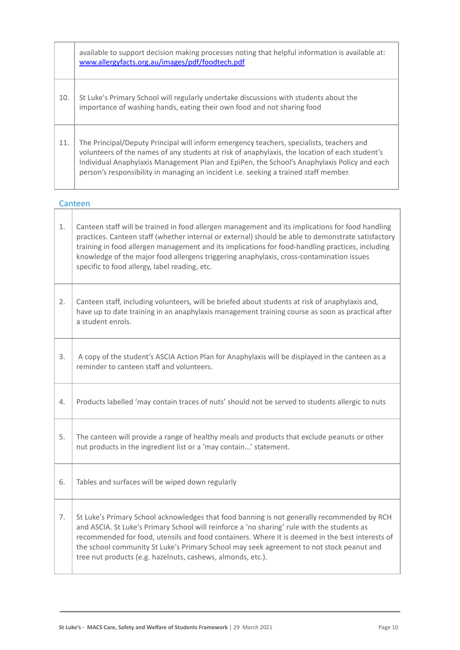|     | available to support decision making processes noting that helpful information is available at:<br>www.allergyfacts.org.au/images/pdf/foodtech.pdf                                                                                                                                                                                                                                |
|-----|-----------------------------------------------------------------------------------------------------------------------------------------------------------------------------------------------------------------------------------------------------------------------------------------------------------------------------------------------------------------------------------|
| 10. | St Luke's Primary School will regularly undertake discussions with students about the<br>importance of washing hands, eating their own food and not sharing food                                                                                                                                                                                                                  |
| 11. | The Principal/Deputy Principal will inform emergency teachers, specialists, teachers and<br>volunteers of the names of any students at risk of anaphylaxis, the location of each student's<br>Individual Anaphylaxis Management Plan and EpiPen, the School's Anaphylaxis Policy and each<br>person's responsibility in managing an incident i.e. seeking a trained staff member. |
|     | Canteen                                                                                                                                                                                                                                                                                                                                                                           |
|     |                                                                                                                                                                                                                                                                                                                                                                                   |

|                                                                                                                                                    | 1.                                                                                                                                                                                                                                                                                                                                                                                                                                                             | Canteen staff will be trained in food allergen management and its implications for food handling<br>practices. Canteen staff (whether internal or external) should be able to demonstrate satisfactory<br>training in food allergen management and its implications for food-handling practices, including<br>knowledge of the major food allergens triggering anaphylaxis, cross-contamination issues<br>specific to food allergy, label reading, etc. |  |
|----------------------------------------------------------------------------------------------------------------------------------------------------|----------------------------------------------------------------------------------------------------------------------------------------------------------------------------------------------------------------------------------------------------------------------------------------------------------------------------------------------------------------------------------------------------------------------------------------------------------------|---------------------------------------------------------------------------------------------------------------------------------------------------------------------------------------------------------------------------------------------------------------------------------------------------------------------------------------------------------------------------------------------------------------------------------------------------------|--|
|                                                                                                                                                    | 2.                                                                                                                                                                                                                                                                                                                                                                                                                                                             | Canteen staff, including volunteers, will be briefed about students at risk of anaphylaxis and,<br>have up to date training in an anaphylaxis management training course as soon as practical after<br>a student enrols.                                                                                                                                                                                                                                |  |
| 3.<br>A copy of the student's ASCIA Action Plan for Anaphylaxis will be displayed in the canteen as a<br>reminder to canteen staff and volunteers. |                                                                                                                                                                                                                                                                                                                                                                                                                                                                |                                                                                                                                                                                                                                                                                                                                                                                                                                                         |  |
|                                                                                                                                                    | 4.                                                                                                                                                                                                                                                                                                                                                                                                                                                             | Products labelled 'may contain traces of nuts' should not be served to students allergic to nuts                                                                                                                                                                                                                                                                                                                                                        |  |
|                                                                                                                                                    | 5.<br>The canteen will provide a range of healthy meals and products that exclude peanuts or other<br>nut products in the ingredient list or a 'may contain' statement.                                                                                                                                                                                                                                                                                        |                                                                                                                                                                                                                                                                                                                                                                                                                                                         |  |
|                                                                                                                                                    | 6.                                                                                                                                                                                                                                                                                                                                                                                                                                                             | Tables and surfaces will be wiped down regularly                                                                                                                                                                                                                                                                                                                                                                                                        |  |
|                                                                                                                                                    | 7.<br>St Luke's Primary School acknowledges that food banning is not generally recommended by RCH<br>and ASCIA. St Luke's Primary School will reinforce a 'no sharing' rule with the students as<br>recommended for food, utensils and food containers. Where it is deemed in the best interests of<br>the school community St Luke's Primary School may seek agreement to not stock peanut and<br>tree nut products (e.g. hazelnuts, cashews, almonds, etc.). |                                                                                                                                                                                                                                                                                                                                                                                                                                                         |  |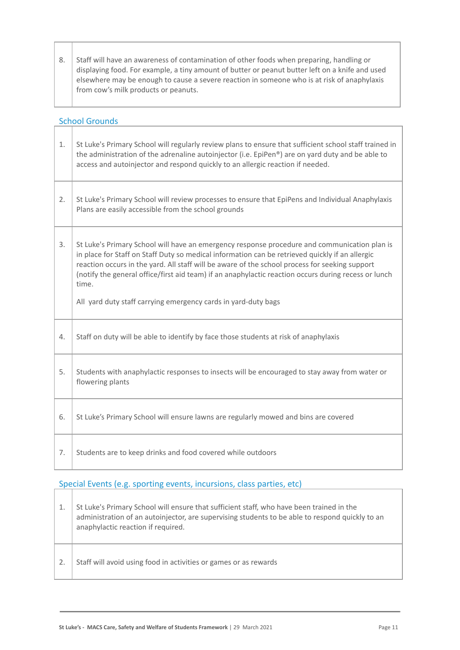8. Staff will have an awareness of contamination of other foods when preparing, handling or displaying food. For example, a tiny amount of butter or peanut butter left on a knife and used elsewhere may be enough to cause a severe reaction in someone who is at risk of anaphylaxis from cow's milk products or peanuts.

## School Grounds

| 1. | St Luke's Primary School will regularly review plans to ensure that sufficient school staff trained in<br>the administration of the adrenaline autoinjector (i.e. EpiPen®) are on yard duty and be able to<br>access and autoinjector and respond quickly to an allergic reaction if needed.                                                                                                                                                                                         |
|----|--------------------------------------------------------------------------------------------------------------------------------------------------------------------------------------------------------------------------------------------------------------------------------------------------------------------------------------------------------------------------------------------------------------------------------------------------------------------------------------|
| 2. | St Luke's Primary School will review processes to ensure that EpiPens and Individual Anaphylaxis<br>Plans are easily accessible from the school grounds                                                                                                                                                                                                                                                                                                                              |
| 3. | St Luke's Primary School will have an emergency response procedure and communication plan is<br>in place for Staff on Staff Duty so medical information can be retrieved quickly if an allergic<br>reaction occurs in the yard. All staff will be aware of the school process for seeking support<br>(notify the general office/first aid team) if an anaphylactic reaction occurs during recess or lunch<br>time.<br>All yard duty staff carrying emergency cards in yard-duty bags |
| 4. | Staff on duty will be able to identify by face those students at risk of anaphylaxis                                                                                                                                                                                                                                                                                                                                                                                                 |
| 5. | Students with anaphylactic responses to insects will be encouraged to stay away from water or<br>flowering plants                                                                                                                                                                                                                                                                                                                                                                    |
| 6. | St Luke's Primary School will ensure lawns are regularly mowed and bins are covered                                                                                                                                                                                                                                                                                                                                                                                                  |
| 7. | Students are to keep drinks and food covered while outdoors                                                                                                                                                                                                                                                                                                                                                                                                                          |

## Special Events (e.g. sporting events, incursions, class parties, etc)

|    | St Luke's Primary School will ensure that sufficient staff, who have been trained in the<br>administration of an autoinjector, are supervising students to be able to respond quickly to an<br>anaphylactic reaction if required. |
|----|-----------------------------------------------------------------------------------------------------------------------------------------------------------------------------------------------------------------------------------|
| 2. | Staff will avoid using food in activities or games or as rewards                                                                                                                                                                  |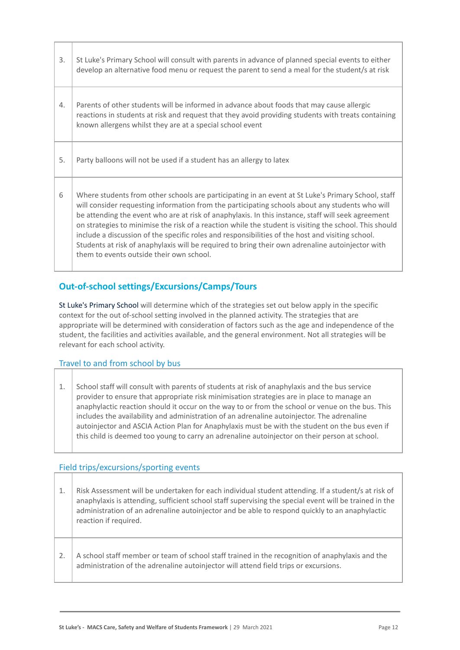| 3. | St Luke's Primary School will consult with parents in advance of planned special events to either<br>develop an alternative food menu or request the parent to send a meal for the student/s at risk                                                                                                                                                                                                                                                                                                                                                                                                                                                                      |
|----|---------------------------------------------------------------------------------------------------------------------------------------------------------------------------------------------------------------------------------------------------------------------------------------------------------------------------------------------------------------------------------------------------------------------------------------------------------------------------------------------------------------------------------------------------------------------------------------------------------------------------------------------------------------------------|
| 4. | Parents of other students will be informed in advance about foods that may cause allergic<br>reactions in students at risk and request that they avoid providing students with treats containing<br>known allergens whilst they are at a special school event                                                                                                                                                                                                                                                                                                                                                                                                             |
| 5. | Party balloons will not be used if a student has an allergy to latex                                                                                                                                                                                                                                                                                                                                                                                                                                                                                                                                                                                                      |
| 6  | Where students from other schools are participating in an event at St Luke's Primary School, staff<br>will consider requesting information from the participating schools about any students who will<br>be attending the event who are at risk of anaphylaxis. In this instance, staff will seek agreement<br>on strategies to minimise the risk of a reaction while the student is visiting the school. This should<br>include a discussion of the specific roles and responsibilities of the host and visiting school.<br>Students at risk of anaphylaxis will be required to bring their own adrenaline autoinjector with<br>them to events outside their own school. |

## **Out-of-school settings/Excursions/Camps/Tours**

St Luke's Primary School will determine which of the strategies set out below apply in the specific context for the out of-school setting involved in the planned activity. The strategies that are appropriate will be determined with consideration of factors such as the age and independence of the student, the facilities and activities available, and the general environment. Not all strategies will be relevant for each school activity.

## Travel to and from school by bus

1. School staff will consult with parents of students at risk of anaphylaxis and the bus service provider to ensure that appropriate risk minimisation strategies are in place to manage an anaphylactic reaction should it occur on the way to or from the school or venue on the bus. This includes the availability and administration of an adrenaline autoinjector. The adrenaline autoinjector and ASCIA Action Plan for Anaphylaxis must be with the student on the bus even if this child is deemed too young to carry an adrenaline autoinjector on their person at school.

### Field trips/excursions/sporting events

- 1. | Risk Assessment will be undertaken for each individual student attending. If a student/s at risk of anaphylaxis is attending, sufficient school staff supervising the special event will be trained in the administration of an adrenaline autoinjector and be able to respond quickly to an anaphylactic reaction if required.
- 2. A school staff member or team of school staff trained in the recognition of anaphylaxis and the administration of the adrenaline autoinjector will attend field trips or excursions.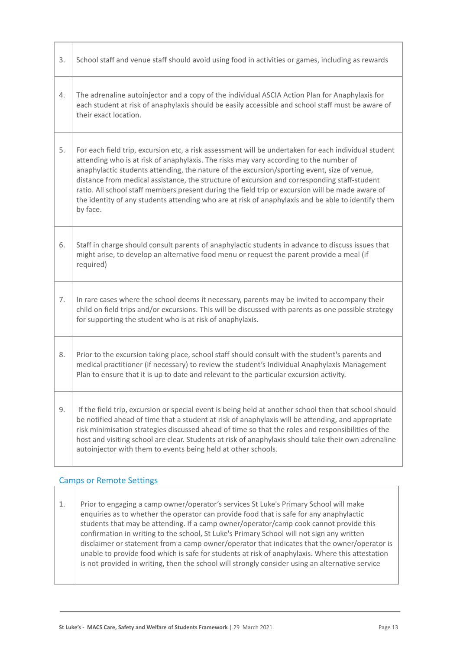| 3. | School staff and venue staff should avoid using food in activities or games, including as rewards                                                                                                                                                                                                                                                                                                                                                                                                                                                                                                                   |  |
|----|---------------------------------------------------------------------------------------------------------------------------------------------------------------------------------------------------------------------------------------------------------------------------------------------------------------------------------------------------------------------------------------------------------------------------------------------------------------------------------------------------------------------------------------------------------------------------------------------------------------------|--|
| 4. | The adrenaline autoinjector and a copy of the individual ASCIA Action Plan for Anaphylaxis for<br>each student at risk of anaphylaxis should be easily accessible and school staff must be aware of<br>their exact location.                                                                                                                                                                                                                                                                                                                                                                                        |  |
| 5. | For each field trip, excursion etc, a risk assessment will be undertaken for each individual student<br>attending who is at risk of anaphylaxis. The risks may vary according to the number of<br>anaphylactic students attending, the nature of the excursion/sporting event, size of venue,<br>distance from medical assistance, the structure of excursion and corresponding staff-student<br>ratio. All school staff members present during the field trip or excursion will be made aware of<br>the identity of any students attending who are at risk of anaphylaxis and be able to identify them<br>by face. |  |
| 6. | Staff in charge should consult parents of anaphylactic students in advance to discuss issues that<br>might arise, to develop an alternative food menu or request the parent provide a meal (if<br>required)                                                                                                                                                                                                                                                                                                                                                                                                         |  |
| 7. | In rare cases where the school deems it necessary, parents may be invited to accompany their<br>child on field trips and/or excursions. This will be discussed with parents as one possible strategy<br>for supporting the student who is at risk of anaphylaxis.                                                                                                                                                                                                                                                                                                                                                   |  |
| 8. | Prior to the excursion taking place, school staff should consult with the student's parents and<br>medical practitioner (if necessary) to review the student's Individual Anaphylaxis Management<br>Plan to ensure that it is up to date and relevant to the particular excursion activity.                                                                                                                                                                                                                                                                                                                         |  |
| 9. | If the field trip, excursion or special event is being held at another school then that school should<br>be notified ahead of time that a student at risk of anaphylaxis will be attending, and appropriate<br>risk minimisation strategies discussed ahead of time so that the roles and responsibilities of the<br>host and visiting school are clear. Students at risk of anaphylaxis should take their own adrenaline<br>autoinjector with them to events being held at other schools.                                                                                                                          |  |

## Camps or Remote Settings

1. Prior to engaging a camp owner/operator's services St Luke's Primary School will make enquiries as to whether the operator can provide food that is safe for any anaphylactic students that may be attending. If a camp owner/operator/camp cook cannot provide this confirmation in writing to the school, St Luke's Primary School will not sign any written disclaimer or statement from a camp owner/operator that indicates that the owner/operator is unable to provide food which is safe for students at risk of anaphylaxis. Where this attestation is not provided in writing, then the school will strongly consider using an alternative service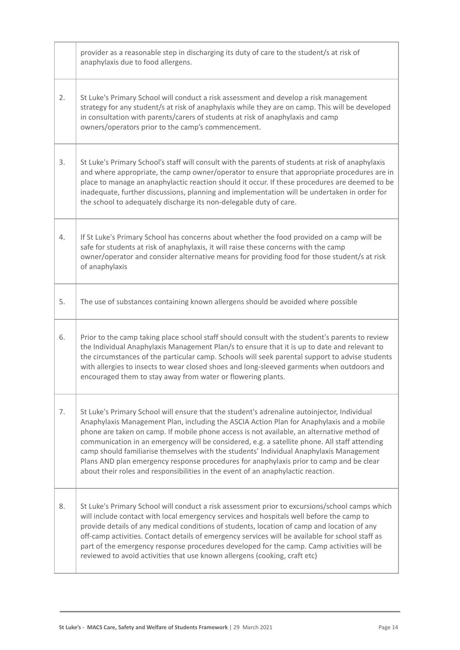|    | provider as a reasonable step in discharging its duty of care to the student/s at risk of<br>anaphylaxis due to food allergens.                                                                                                                                                                                                                                                                                                                                                                                                                                                                                                                                   |
|----|-------------------------------------------------------------------------------------------------------------------------------------------------------------------------------------------------------------------------------------------------------------------------------------------------------------------------------------------------------------------------------------------------------------------------------------------------------------------------------------------------------------------------------------------------------------------------------------------------------------------------------------------------------------------|
| 2. | St Luke's Primary School will conduct a risk assessment and develop a risk management<br>strategy for any student/s at risk of anaphylaxis while they are on camp. This will be developed<br>in consultation with parents/carers of students at risk of anaphylaxis and camp<br>owners/operators prior to the camp's commencement.                                                                                                                                                                                                                                                                                                                                |
| 3. | St Luke's Primary School's staff will consult with the parents of students at risk of anaphylaxis<br>and where appropriate, the camp owner/operator to ensure that appropriate procedures are in<br>place to manage an anaphylactic reaction should it occur. If these procedures are deemed to be<br>inadequate, further discussions, planning and implementation will be undertaken in order for<br>the school to adequately discharge its non-delegable duty of care.                                                                                                                                                                                          |
| 4. | If St Luke's Primary School has concerns about whether the food provided on a camp will be<br>safe for students at risk of anaphylaxis, it will raise these concerns with the camp<br>owner/operator and consider alternative means for providing food for those student/s at risk<br>of anaphylaxis                                                                                                                                                                                                                                                                                                                                                              |
| 5. | The use of substances containing known allergens should be avoided where possible                                                                                                                                                                                                                                                                                                                                                                                                                                                                                                                                                                                 |
| 6. | Prior to the camp taking place school staff should consult with the student's parents to review<br>the Individual Anaphylaxis Management Plan/s to ensure that it is up to date and relevant to<br>the circumstances of the particular camp. Schools will seek parental support to advise students<br>with allergies to insects to wear closed shoes and long-sleeved garments when outdoors and<br>encouraged them to stay away from water or flowering plants.                                                                                                                                                                                                  |
| 7. | St Luke's Primary School will ensure that the student's adrenaline autoinjector, Individual<br>Anaphylaxis Management Plan, including the ASCIA Action Plan for Anaphylaxis and a mobile<br>phone are taken on camp. If mobile phone access is not available, an alternative method of<br>communication in an emergency will be considered, e.g. a satellite phone. All staff attending<br>camp should familiarise themselves with the students' Individual Anaphylaxis Management<br>Plans AND plan emergency response procedures for anaphylaxis prior to camp and be clear<br>about their roles and responsibilities in the event of an anaphylactic reaction. |
| 8. | St Luke's Primary School will conduct a risk assessment prior to excursions/school camps which<br>will include contact with local emergency services and hospitals well before the camp to<br>provide details of any medical conditions of students, location of camp and location of any<br>off-camp activities. Contact details of emergency services will be available for school staff as<br>part of the emergency response procedures developed for the camp. Camp activities will be<br>reviewed to avoid activities that use known allergens (cooking, craft etc)                                                                                          |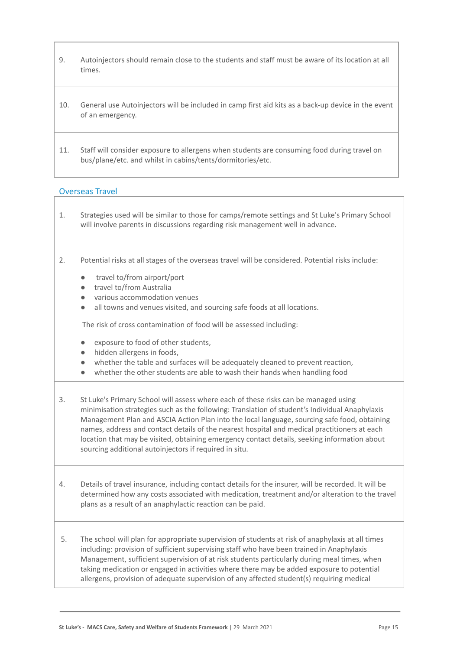| 9.  | Autoinjectors should remain close to the students and staff must be aware of its location at all<br>times.                                                |
|-----|-----------------------------------------------------------------------------------------------------------------------------------------------------------|
| 10. | General use Autoinjectors will be included in camp first aid kits as a back-up device in the event<br>of an emergency.                                    |
| 11. | Staff will consider exposure to allergens when students are consuming food during travel on<br>bus/plane/etc. and whilst in cabins/tents/dormitories/etc. |

# Overseas Travel

Г

 $\overline{\Gamma}$ 

т

| 1. | Strategies used will be similar to those for camps/remote settings and St Luke's Primary School<br>will involve parents in discussions regarding risk management well in advance.                                                                                                                                                                                                                                                                                                                                                                                                                                                                                                           |
|----|---------------------------------------------------------------------------------------------------------------------------------------------------------------------------------------------------------------------------------------------------------------------------------------------------------------------------------------------------------------------------------------------------------------------------------------------------------------------------------------------------------------------------------------------------------------------------------------------------------------------------------------------------------------------------------------------|
| 2. | Potential risks at all stages of the overseas travel will be considered. Potential risks include:<br>travel to/from airport/port<br>$\bullet$<br>travel to/from Australia<br>$\bullet$<br>various accommodation venues<br>$\bullet$<br>all towns and venues visited, and sourcing safe foods at all locations.<br>$\bullet$<br>The risk of cross contamination of food will be assessed including:<br>exposure to food of other students,<br>$\bullet$<br>hidden allergens in foods,<br>$\bullet$<br>whether the table and surfaces will be adequately cleaned to prevent reaction,<br>$\bullet$<br>whether the other students are able to wash their hands when handling food<br>$\bullet$ |
| 3. | St Luke's Primary School will assess where each of these risks can be managed using<br>minimisation strategies such as the following: Translation of student's Individual Anaphylaxis<br>Management Plan and ASCIA Action Plan into the local language, sourcing safe food, obtaining<br>names, address and contact details of the nearest hospital and medical practitioners at each<br>location that may be visited, obtaining emergency contact details, seeking information about<br>sourcing additional autoinjectors if required in situ.                                                                                                                                             |
| 4. | Details of travel insurance, including contact details for the insurer, will be recorded. It will be<br>determined how any costs associated with medication, treatment and/or alteration to the travel<br>plans as a result of an anaphylactic reaction can be paid.                                                                                                                                                                                                                                                                                                                                                                                                                        |
| 5. | The school will plan for appropriate supervision of students at risk of anaphylaxis at all times<br>including: provision of sufficient supervising staff who have been trained in Anaphylaxis<br>Management, sufficient supervision of at risk students particularly during meal times, when<br>taking medication or engaged in activities where there may be added exposure to potential<br>allergens, provision of adequate supervision of any affected student(s) requiring medical                                                                                                                                                                                                      |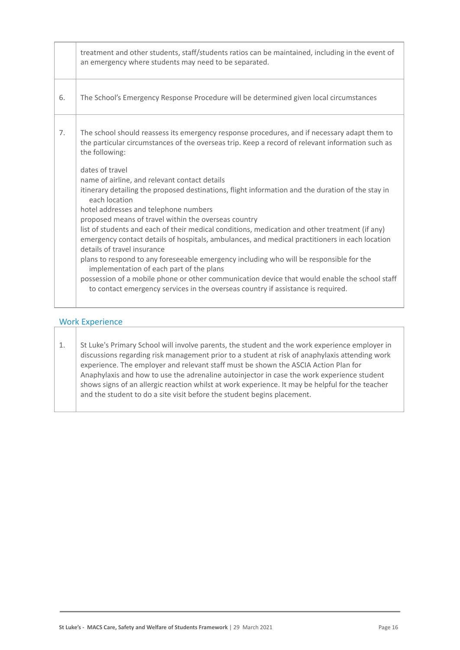|    | treatment and other students, staff/students ratios can be maintained, including in the event of<br>an emergency where students may need to be separated.                                                                                                                                                                                                                                                                                                                                                                                                                                                                                                                                                                                                                                                                                              |
|----|--------------------------------------------------------------------------------------------------------------------------------------------------------------------------------------------------------------------------------------------------------------------------------------------------------------------------------------------------------------------------------------------------------------------------------------------------------------------------------------------------------------------------------------------------------------------------------------------------------------------------------------------------------------------------------------------------------------------------------------------------------------------------------------------------------------------------------------------------------|
| 6. | The School's Emergency Response Procedure will be determined given local circumstances                                                                                                                                                                                                                                                                                                                                                                                                                                                                                                                                                                                                                                                                                                                                                                 |
| 7. | The school should reassess its emergency response procedures, and if necessary adapt them to<br>the particular circumstances of the overseas trip. Keep a record of relevant information such as<br>the following:                                                                                                                                                                                                                                                                                                                                                                                                                                                                                                                                                                                                                                     |
|    | dates of travel<br>name of airline, and relevant contact details<br>itinerary detailing the proposed destinations, flight information and the duration of the stay in<br>each location<br>hotel addresses and telephone numbers<br>proposed means of travel within the overseas country<br>list of students and each of their medical conditions, medication and other treatment (if any)<br>emergency contact details of hospitals, ambulances, and medical practitioners in each location<br>details of travel insurance<br>plans to respond to any foreseeable emergency including who will be responsible for the<br>implementation of each part of the plans<br>possession of a mobile phone or other communication device that would enable the school staff<br>to contact emergency services in the overseas country if assistance is required. |

#### Work Experience

1. St Luke's Primary School will involve parents, the student and the work experience employer in discussions regarding risk management prior to a student at risk of anaphylaxis attending work experience. The employer and relevant staff must be shown the ASCIA Action Plan for Anaphylaxis and how to use the adrenaline autoinjector in case the work experience student shows signs of an allergic reaction whilst at work experience. It may be helpful for the teacher and the student to do a site visit before the student begins placement.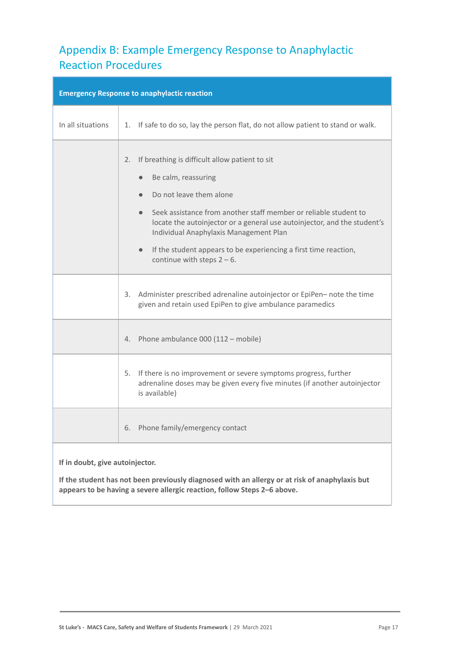# Appendix B: Example Emergency Response to Anaphylactic Reaction Procedures

|                                 | <b>Emergency Response to anaphylactic reaction</b>                                                                                                                                                                                                                                                                                                                                                                                           |  |  |
|---------------------------------|----------------------------------------------------------------------------------------------------------------------------------------------------------------------------------------------------------------------------------------------------------------------------------------------------------------------------------------------------------------------------------------------------------------------------------------------|--|--|
| In all situations               | If safe to do so, lay the person flat, do not allow patient to stand or walk.<br>1.                                                                                                                                                                                                                                                                                                                                                          |  |  |
|                                 | If breathing is difficult allow patient to sit<br>2.<br>Be calm, reassuring<br>Do not leave them alone<br>$\bullet$<br>Seek assistance from another staff member or reliable student to<br>$\bullet$<br>locate the autoinjector or a general use autoinjector, and the student's<br>Individual Anaphylaxis Management Plan<br>If the student appears to be experiencing a first time reaction,<br>$\bullet$<br>continue with steps $2 - 6$ . |  |  |
|                                 | 3. Administer prescribed adrenaline autoinjector or EpiPen-note the time<br>given and retain used EpiPen to give ambulance paramedics                                                                                                                                                                                                                                                                                                        |  |  |
|                                 | 4. Phone ambulance 000 (112 - mobile)                                                                                                                                                                                                                                                                                                                                                                                                        |  |  |
|                                 | 5. If there is no improvement or severe symptoms progress, further<br>adrenaline doses may be given every five minutes (if another autoinjector<br>is available)                                                                                                                                                                                                                                                                             |  |  |
|                                 | Phone family/emergency contact<br>6.                                                                                                                                                                                                                                                                                                                                                                                                         |  |  |
| If in doubt, give autoinjector. |                                                                                                                                                                                                                                                                                                                                                                                                                                              |  |  |

**If the student has not been previously diagnosed with an allergy or at risk of anaphylaxis but appears to be having a severe allergic reaction, follow Steps 2**–**6 above.**